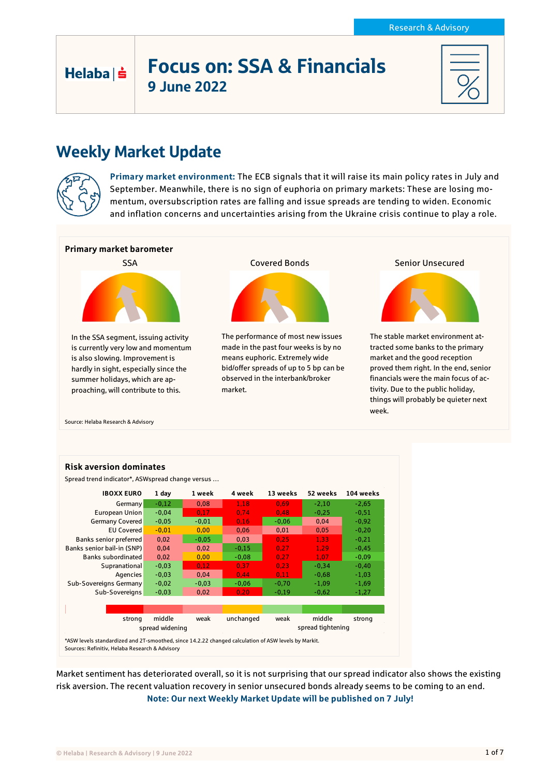# Focus on: SSA & Financials 9 June 2022

# Weekly Market Update



Helaba | s

**Primary market environment:** The ECB signals that it will raise its main policy rates in July and September. Meanwhile, there is no sign of euphoria on primary markets: These are losing momentum, oversubscription rates are falling and issue spreads are tending to widen. Economic and inflation concerns and uncertainties arising from the Ukraine crisis continue to play a role.



Source: Helaba Research & Advisory



Market sentiment has deteriorated overall, so it is not surprising that our spread indicator also shows the existing risk aversion. The recent valuation recovery in senior unsecured bonds already seems to be coming to an end. **Note: Our next Weekly Market Update will be published on 7 July!**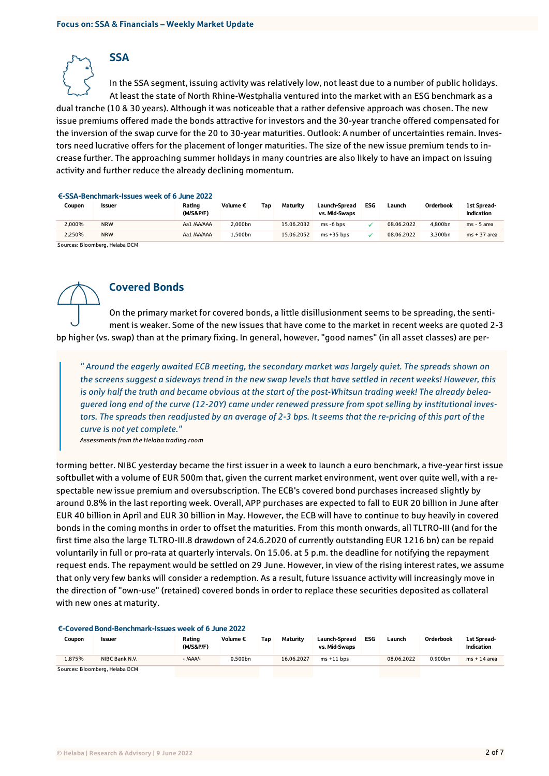In the SSA segment, issuing activity was relatively low, not least due to a number of public holidays. At least the state of North Rhine-Westphalia ventured into the market with an ESG benchmark as a dual tranche (10 & 30 years). Although it was noticeable that a rather defensive approach was chosen. The new issue premiums offered made the bonds attractive for investors and the 30-year tranche offered compensated for the inversion of the swap curve for the 20 to 30-year maturities. Outlook: A number of uncertainties remain. Investors need lucrative offers for the placement of longer maturities. The size of the new issue premium tends to increase further. The approaching summer holidays in many countries are also likely to have an impact on issuing activity and further reduce the already declining momentum.

#### €-SSA-Benchmark-Issues week of 6 June 2022

**SSA** 

| Coupon | Issuer     | Rating<br>(M/S&P/F) | Volume € | Tap | Maturity   | Launch-Spread<br>vs. Mid-Swaps | ESG | Launch     | Orderbook | <b>1st Spread-</b><br>Indication |
|--------|------------|---------------------|----------|-----|------------|--------------------------------|-----|------------|-----------|----------------------------------|
| 2.000% | <b>NRW</b> | Aa1 /AA/AAA         | 2.000bn  |     | 15.06.2032 | ms -6 bps                      |     | 08.06.2022 | 4.800bn   | ms - 5 area                      |
| 2.250% | <b>NRW</b> | Aa1 /AA/AAA         | .500bn   |     | 15.06.2052 | $ms + 35 bps$                  |     | 08.06.2022 | 3.300bn   | $ms + 37$ area                   |
| $\sim$ |            |                     |          |     |            |                                |     |            |           |                                  |

Sources: Bloomberg, Helaba DCM



# Covered Bonds

On the primary market for covered bonds, a little disillusionment seems to be spreading, the sentiment is weaker. Some of the new issues that have come to the market in recent weeks are quoted 2-3 bp higher (vs. swap) than at the primary fixing. In general, however, "good names" (in all asset classes) are per-

*" Around the eagerly awaited ECB meeting, the secondary market was largely quiet. The spreads shown on the screens suggest a sideways trend in the new swap levels that have settled in recent weeks! However, this is only half the truth and became obvious at the start of the post-Whitsun trading week! The already beleaguered long end of the curve (12-20Y) came under renewed pressure from spot selling by institutional investors. The spreads then readjusted by an average of 2-3 bps. It seems that the re-pricing of this part of the curve is not yet complete."* 

*Assessments from the Helaba trading room*

forming better. NIBC yesterday became the first issuer in a week to launch a euro benchmark, a five-year first issue softbullet with a volume of EUR 500m that, given the current market environment, went over quite well, with a respectable new issue premium and oversubscription. The ECB's covered bond purchases increased slightly by around 0.8% in the last reporting week. Overall, APP purchases are expected to fall to EUR 20 billion in June after EUR 40 billion in April and EUR 30 billion in May. However, the ECB will have to continue to buy heavily in covered bonds in the coming months in order to offset the maturities. From this month onwards, all TLTRO-III (and for the first time also the large TLTRO-III.8 drawdown of 24.6.2020 of currently outstanding EUR 1216 bn) can be repaid voluntarily in full or pro-rata at quarterly intervals. On 15.06. at 5 p.m. the deadline for notifying the repayment request ends. The repayment would be settled on 29 June. However, in view of the rising interest rates, we assume that only very few banks will consider a redemption. As a result, future issuance activity will increasingly move in the direction of "own-use" (retained) covered bonds in order to replace these securities deposited as collateral with new ones at maturity.

#### €-Covered Bond-Benchmark-Issues week of 6 June 2022

| Coupon | <b>Issuer</b>                  | Rating<br>(M/S&P/F) | Volume € | Tap | Maturity   | Launch-Spread<br>vs. Mid-Swaps | ESG | Launch     | Orderbook | 1st Spread<br>Indication |
|--------|--------------------------------|---------------------|----------|-----|------------|--------------------------------|-----|------------|-----------|--------------------------|
| 1.875% | NIBC Bank N.V.                 | - IAAA/-            | 0.500bn  |     | 16.06.2027 | $ms + 11 bps$                  |     | 08.06.2022 | 0.900bn   | $ms + 14$ area           |
|        | Sources: Bloomberg, Helaba DCM |                     |          |     |            |                                |     |            |           |                          |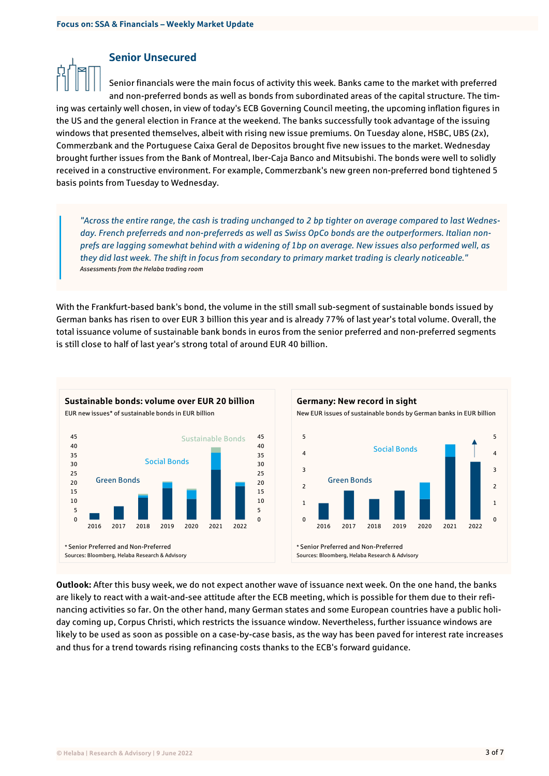## Senior Unsecured

Senior financials were the main focus of activity this week. Banks came to the market with preferred and non-preferred bonds as well as bonds from subordinated areas of the capital structure. The timing was certainly well chosen, in view of today's ECB Governing Council meeting, the upcoming inflation figures in the US and the general election in France at the weekend. The banks successfully took advantage of the issuing windows that presented themselves, albeit with rising new issue premiums. On Tuesday alone, HSBC, UBS (2x), Commerzbank and the Portuguese Caixa Geral de Depositos brought five new issues to the market. Wednesday brought further issues from the Bank of Montreal, Iber-Caja Banco and Mitsubishi. The bonds were well to solidly received in a constructive environment. For example, Commerzbank's new green non-preferred bond tightened 5 basis points from Tuesday to Wednesday.

*"Across the entire range, the cash is trading unchanged to 2 bp tighter on average compared to last Wednesday. French preferreds and non-preferreds as well as Swiss OpCo bonds are the outperformers. Italian nonprefs are lagging somewhat behind with a widening of 1bp on average. New issues also performed well, as they did last week. The shift in focus from secondary to primary market trading is clearly noticeable." Assessments from the Helaba trading room*

With the Frankfurt-based bank's bond, the volume in the still small sub-segment of sustainable bonds issued by German banks has risen to over EUR 3 billion this year and is already 77% of last year's total volume. Overall, the total issuance volume of sustainable bank bonds in euros from the senior preferred and non-preferred segments is still close to half of last year's strong total of around EUR 40 billion.





**Outlook:** After this busy week, we do not expect another wave of issuance next week. On the one hand, the banks are likely to react with a wait-and-see attitude after the ECB meeting, which is possible for them due to their refinancing activities so far. On the other hand, many German states and some European countries have a public holiday coming up, Corpus Christi, which restricts the issuance window. Nevertheless, further issuance windows are likely to be used as soon as possible on a case-by-case basis, as the way has been paved for interest rate increases and thus for a trend towards rising refinancing costs thanks to the ECB's forward guidance.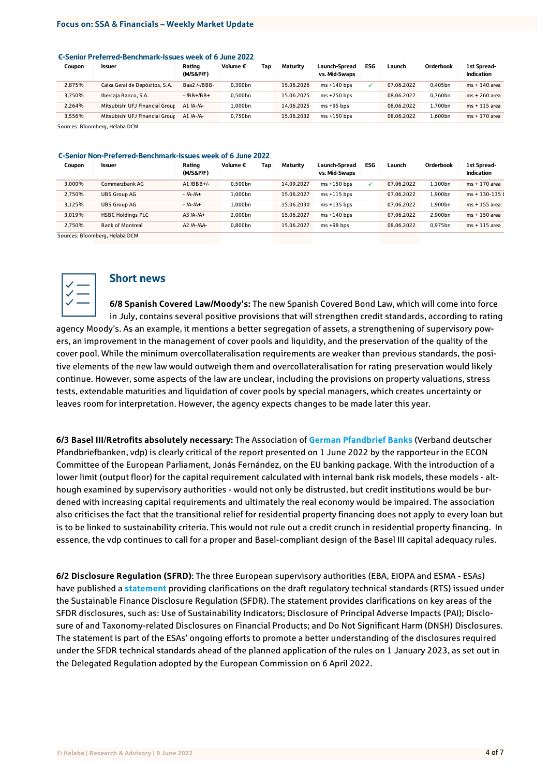#### €-Senior Preferred-Benchmark-Issues week of 6 June 2022

| Coupon                                    | Issuer                         | Rating<br>(M/S&P/F) | Volume € | Tao | Maturity   | Launch-Spread<br>vs. Mid-Swaps | ESG | Launch     | Orderbook | 1st Spread-<br>Indication |
|-------------------------------------------|--------------------------------|---------------------|----------|-----|------------|--------------------------------|-----|------------|-----------|---------------------------|
| 2,875%                                    | Caixa Geral de Depósitos, S.A. | Baa2 /-/BBB-        | 0.300bn  |     | 15.06.2026 | $ms + 140$ bps                 |     | 07.06.2022 | 0.405bn   | ms + 140 area             |
| 3.750%                                    | Ibercaja Banco, S.A.           | $-$ /BB+/BB+        | 0.500bn  |     | 15.06.2025 | $ms + 250$ bps                 |     | 08.06.2022 | 0.760bn   | ms + 260 area             |
| 2.264%                                    | Mitsubishi UFJ Financial Grour | A1 $/A$ - $/A$ -    | 1.000bn  |     | 14.06.2025 | $ms + 95$ bps                  |     | 08.06.2022 | 1.700bn   | ms + 115 area             |
| 3.556%                                    | Mitsubishi UFJ Financial Grour | A1 /A-/A-           | 0.750bn  |     | 15.06.2032 | $ms + 150$ bps                 |     | 08.06.2022 | 1.600bn   | ms + 170 area             |
| $\sim$ $\sim$ $\sim$ $\sim$ $\sim$ $\sim$ | $\cdots$ $\cdots$ $\cdots$     |                     |          |     |            |                                |     |            |           |                           |

Sources: Bloomberg, Helaba DCM

#### €-Senior Non-Preferred-Benchmark-Issues week of 6 June 2022

| Coupon | Issuer                   | Rating<br>(M/S&P/F) | Volume €            | Tap | Maturity   | Launch-Spread<br>vs. Mid-Swaps | ESG | Launch     | Orderbook | 1st Spread-<br>Indication |
|--------|--------------------------|---------------------|---------------------|-----|------------|--------------------------------|-----|------------|-----------|---------------------------|
| 3.000% | Commerzbank AG           | A1 $/BBB+/-$        | 0.500bn             |     | 14.09.2027 | $ms + 150$ bps                 | ✓   | 07.06.2022 | 1.100bn   | ms + 170 area             |
| 2.750% | <b>UBS Group AG</b>      | $-$ /A-/A+          | 1.000bn             |     | 15.06.2027 | $ms + 115 bps$                 |     | 07.06.2022 | 1.900bn   | $ms + 130 - 135$          |
| 3.125% | <b>UBS Group AG</b>      | $-$ /A-/A+          | 1.000bn             |     | 15.06.2030 | $ms + 135$ bps                 |     | 07.06.2022 | 1.900bn   | ms + 155 area             |
| 3.019% | <b>HSBC Holdings PLC</b> | $A3/A-IA+$          | 2.000bn             |     | 15.06.2027 | $ms + 140$ bps                 |     | 07.06.2022 | 2.900bn   | ms + 150 area             |
| 2.750% | <b>Bank of Montreal</b>  | A2 /A-/AA-          | 0.800 <sub>bn</sub> |     | 15.06.2027 | $ms + 98$ bps                  |     | 08.06.2022 | 0.975bn   | $ms + 115$ area           |

Sources: Bloomberg, Helaba DCM



# Short news

**6/8 Spanish Covered Law/Moody's:** The new Spanish Covered Bond Law, which will come into force in July, contains several positive provisions that will strengthen credit standards, according to rating agency Moody's. As an example, it mentions a better segregation of assets, a strengthening of supervisory powers, an improvement in the management of cover pools and liquidity, and the preservation of the quality of the cover pool. While the minimum overcollateralisation requirements are weaker than previous standards, the positive elements of the new law would outweigh them and overcollateralisation for rating preservation would likely continue. However, some aspects of the law are unclear, including the provisions on property valuations, stress tests, extendable maturities and liquidation of cover pools by special managers, which creates uncertainty or leaves room for interpretation. However, the agency expects changes to be made later this year.

**6/3 Basel III**/**Retrofits absolutely necessary:** The Association of **[German Pfandbrief Banks](https://www.pfandbrief.de/site/de/vdp/Presse/News/pressemitteilungen/202200603_Basel_III)** (Verband deutscher Pfandbriefbanken, vdp) is clearly critical of the report presented on 1 June 2022 by the rapporteur in the ECON Committee of the European Parliament, Jonás Fernández, on the EU banking package. With the introduction of a lower limit (output floor) for the capital requirement calculated with internal bank risk models, these models - although examined by supervisory authorities - would not only be distrusted, but credit institutions would be burdened with increasing capital requirements and ultimately the real economy would be impaired. The association also criticises the fact that the transitional relief for residential property financing does not apply to every loan but is to be linked to sustainability criteria. This would not rule out a credit crunch in residential property financing. In essence, the vdp continues to call for a proper and Basel-compliant design of the Basel III capital adequacy rules.

**6/2 Disclosure Regulation (SFRD)**: The three European supervisory authorities (EBA, EIOPA and ESMA - ESAs) have published a **[statement](https://www.eba.europa.eu/esas-provide-clarifications-key-areas-rts-under-sfdr)** providing clarifications on the draft regulatory technical standards (RTS) issued under the Sustainable Finance Disclosure Regulation (SFDR). The statement provides clarifications on key areas of the SFDR disclosures, such as: Use of Sustainability Indicators; Disclosure of Principal Adverse Impacts (PAI); Disclosure of and Taxonomy-related Disclosures on Financial Products; and Do Not Significant Harm (DNSH) Disclosures. The statement is part of the ESAs' ongoing efforts to promote a better understanding of the disclosures required under the SFDR technical standards ahead of the planned application of the rules on 1 January 2023, as set out in the Delegated Regulation adopted by the European Commission on 6 April 2022.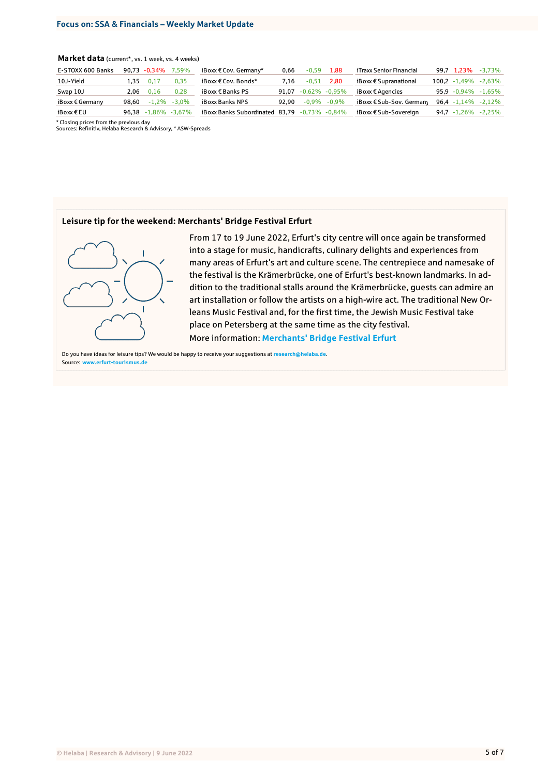### **Market data** (current\*, vs. 1 week, vs. 4 weeks)

| E-STOXX 600 Banks        |       | 90.73 -0.34% 7.59% |                 | iBoxx $\epsilon$ Cov. Germany* | 0.66  | $-0.59$ | 1.88                | iTraxx Senior Financial           | 99.7 1.23%              | $-3.73\%$ |
|--------------------------|-------|--------------------|-----------------|--------------------------------|-------|---------|---------------------|-----------------------------------|-------------------------|-----------|
| 10J-Yield                | 1.35  | 0.17               | 0,35            | iBoxx € Cov. Bonds*            | 7.16  | $-0.51$ | 2.80                | $i$ Boxx $\epsilon$ Supranational | $100,2 -1,49\% -2,63\%$ |           |
| Swap 10J                 | 2.06  | 0.16               | 0.28            | iBoxx € Banks PS               | 91.07 |         | $-0.62\%$ $-0.95\%$ | iBoxx € Agencies                  | $95,9 -0,94\% -1,65\%$  |           |
| iBoxx $\epsilon$ Germany | 98.60 |                    | $-1,2\% -3,0\%$ | iBoxx Banks NPS                | 92.90 |         | $-0.9\%$ $-0.9\%$   | iBoxx € Sub-Sov. Germany          | $96,4 -1,14\% -2,12\%$  |           |
| iBoxx€EU                 | 96.38 | $-1.86\% -3.67\%$  |                 | iBoxx Banks Subordinated 83.79 |       |         | $-0.73\%$ $-0.84\%$ | iBoxx € Sub-Sovereign             | $94,7 -1,26\% -2,25\%$  |           |

\* Closing prices from the previous day Sources: Refinitiv, Helaba Research & Advisory, \* ASW-Spreads

### **Leisure tip for the weekend: Merchants' Bridge Festival Erfurt**



From 17 to 19 June 2022, Erfurt's city centre will once again be transformed into a stage for music, handicrafts, culinary delights and experiences from many areas of Erfurt's art and culture scene. The centrepiece and namesake of the festival is the Krämerbrücke, one of Erfurt's best-known landmarks. In addition to the traditional stalls around the Krämerbrücke, guests can admire an art installation or follow the artists on a high-wire act. The traditional New Orleans Music Festival and, for the first time, the Jewish Music Festival take place on Petersberg at the same time as the city festival. More information: **[Merchants' Bridge Festival Erfurt](https://www.erfurt-tourismus.de/en/events-markets/highlights-2022/merchants-bridge-festival)**

Do you have ideas for leisure tips? We would be happy to receive your suggestions at **[research@helaba.de](mailto:research@helaba.de)**. Source: **[www.erfurt-tourismus.de](https://www.erfurt-tourismus.de/en/events-markets/highlights-2022/merchants-bridge-festival)**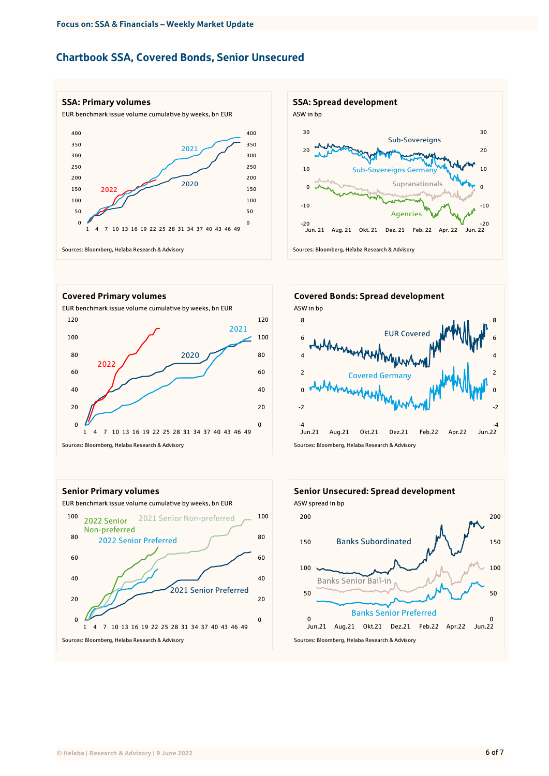# Chartbook SSA, Covered Bonds, Senior Unsecured